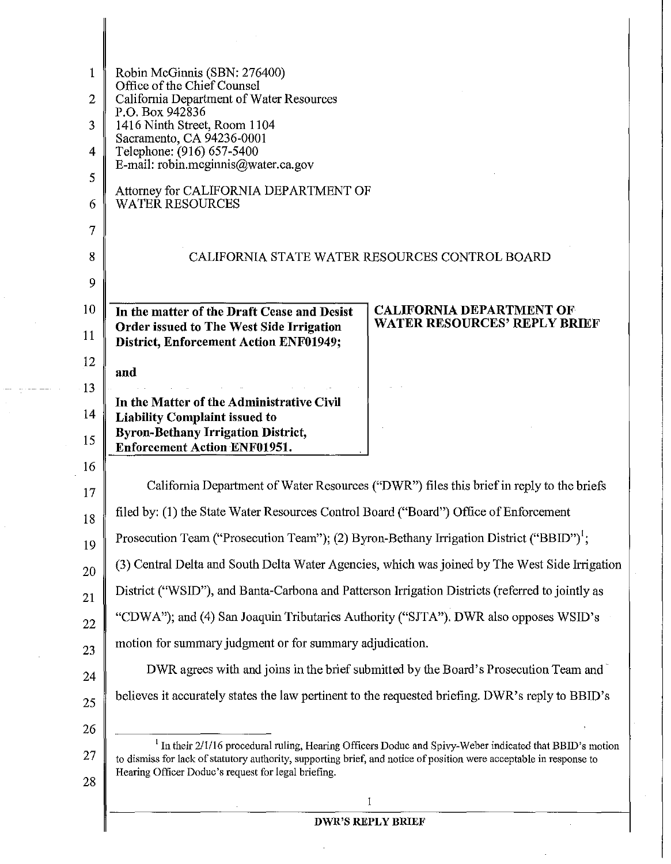| $\mathbf{1}$ | Robin McGinnis (SBN: 276400)                                                                                                                                                                                                               |
|--------------|--------------------------------------------------------------------------------------------------------------------------------------------------------------------------------------------------------------------------------------------|
| 2            | Office of the Chief Counsel<br>California Department of Water Resources                                                                                                                                                                    |
| 3            | P.O. Box 942836<br>1416 Ninth Street, Room 1104                                                                                                                                                                                            |
| 4            | Sacramento, CA 94236-0001<br>Telephone: (916) 657-5400                                                                                                                                                                                     |
| 5            | E-mail: robin.mcginnis@water.ca.gov                                                                                                                                                                                                        |
|              | Attorney for CALIFORNIA DEPARTMENT OF<br>WATER RESOURCES                                                                                                                                                                                   |
| 6            |                                                                                                                                                                                                                                            |
| 7            |                                                                                                                                                                                                                                            |
| 8            | CALIFORNIA STATE WATER RESOURCES CONTROL BOARD                                                                                                                                                                                             |
| 9            |                                                                                                                                                                                                                                            |
| 10           | <b>CALIFORNIA DEPARTMENT OF</b><br>In the matter of the Draft Cease and Desist<br><b>WATER RESOURCES' REPLY BRIEF</b><br><b>Order issued to The West Side Irrigation</b>                                                                   |
| 11           | <b>District, Enforcement Action ENF01949;</b>                                                                                                                                                                                              |
| 12           | and                                                                                                                                                                                                                                        |
| 13           | In the Matter of the Administrative Civil                                                                                                                                                                                                  |
| 14           | <b>Liability Complaint issued to</b>                                                                                                                                                                                                       |
| 15           | <b>Byron-Bethany Irrigation District,</b><br><b>Enforcement Action ENF01951.</b>                                                                                                                                                           |
| 16           |                                                                                                                                                                                                                                            |
| 17           | California Department of Water Resources ("DWR") files this brief in reply to the briefs                                                                                                                                                   |
| 18           | filed by: (1) the State Water Resources Control Board ("Board") Office of Enforcement                                                                                                                                                      |
| 19           | Prosecution Team ("Prosecution Team"); (2) Byron-Bethany Irrigation District ("BBID") <sup>1</sup> ;                                                                                                                                       |
| 20           | (3) Central Delta and South Delta Water Agencies, which was joined by The West Side Irrigation                                                                                                                                             |
| 21           | District ("WSID"), and Banta-Carbona and Patterson Irrigation Districts (referred to jointly as                                                                                                                                            |
| 22           | "CDWA"); and (4) San Joaquin Tributaries Authority ("SJTA"). DWR also opposes WSID's                                                                                                                                                       |
| 23           | motion for summary judgment or for summary adjudication.                                                                                                                                                                                   |
| 24           | DWR agrees with and joins in the brief submitted by the Board's Prosecution Team and                                                                                                                                                       |
| 25           | believes it accurately states the law pertinent to the requested briefing. DWR's reply to BBID's                                                                                                                                           |
| 26           |                                                                                                                                                                                                                                            |
| 27           | <sup>1</sup> In their 2/1/16 procedural ruling, Hearing Officers Doduc and Spivy-Weber indicated that BBID's motion<br>to dismiss for lack of statutory authority, supporting brief, and notice of position were acceptable in response to |
| 28           | Hearing Officer Doduc's request for legal briefing.                                                                                                                                                                                        |
|              | 1                                                                                                                                                                                                                                          |
|              | <b>DWR'S REPLY BRIEF</b>                                                                                                                                                                                                                   |

 $\bar{\phantom{a}}$ 

# **DWR'S REPLY BRIEF**

 $\sim$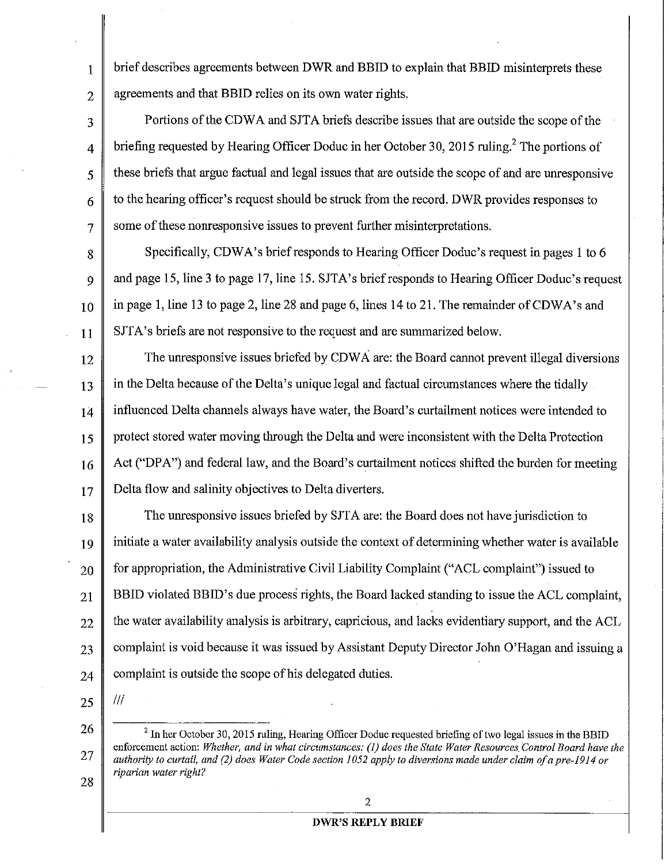brief describes agreements between DWR and BBID to explain that BBID misinterprets these agreements and that BBID relies on its own water rights.

4 Portions of the CDWA and SJTA briefs describe issues that are outside the scope of the briefing requested by Hearing Officer Doduc in her October 30, 2015 ruling.<sup>2</sup> The portions of these briefs that argue factual and legal issues that are outside the scope of and are unresponsive to the hearing officer's request should be struck from the record. DWR provides responses to some of these nonresponsive issues to prevent further misinterpretations.

8 9 10 11 Specifically, CDWA's brief responds to Hearing Officer Doduc's request in pages 1 to 6 and page 15, line 3 to page 17, line 15. SJTA's brief responds to Hearing Officer Doduc's request in page 1, line 13 to page 2, line 28 and page 6, lines 14 to 21. The remainder of CDWA's and SJTA's briefs are not responsive to the request and are summarized below.

12 13 14 15 16 17 The unresponsive issues briefed by CDWA are: the Board cannot prevent illegal diversions in the Delta because of the Delta's unique legal and factual circumstances where the tidally influenced Delta channels always have water, the Board's curtailment notices were intended to protect stored water moving through the Delta aud were inconsistent with the Delta Protection Act ("DPA") and federal law, and the Board's curtailment notices shifted the burden for meeting Delta flow and salinity objectives to Delta diverters.

18 19 20 21 22 23 24 The unresponsive issues briefed by SJTA are: the Board does not have jurisdiction to initiate a water availability analysis outside the context of determining whether water is available for appropriation, the Administrative Civil Liability Complaint ("ACL complaint") issued to BBID violated BBID's due process rights, the Board lacked standing to issue the ACL complaint, the water availability analysis is arbitrary, capricious, and lacks evidentiary support, and the ACL complaint is void because it was issued by Assistant Deputy Director John O'Hagan and issuing a complaint is outside the scope of his delegated duties.

25

Ill

26

27

28

1

2

3

5

6

7

<sup>2</sup> In her October 30, 2015 ruling, Hearing Officer Doduc requested briefing of two legal issues in the BBID enforcement action: *Whether, and in what circumstances: (1) does the State Water Resources Control Board have the authority to curtail, and (2) does Water Code section 1052 apply to diversions made under claim of a pre-1914 or riparian water right?* 

#### 2

### **DWR'S REPLY BRIEF**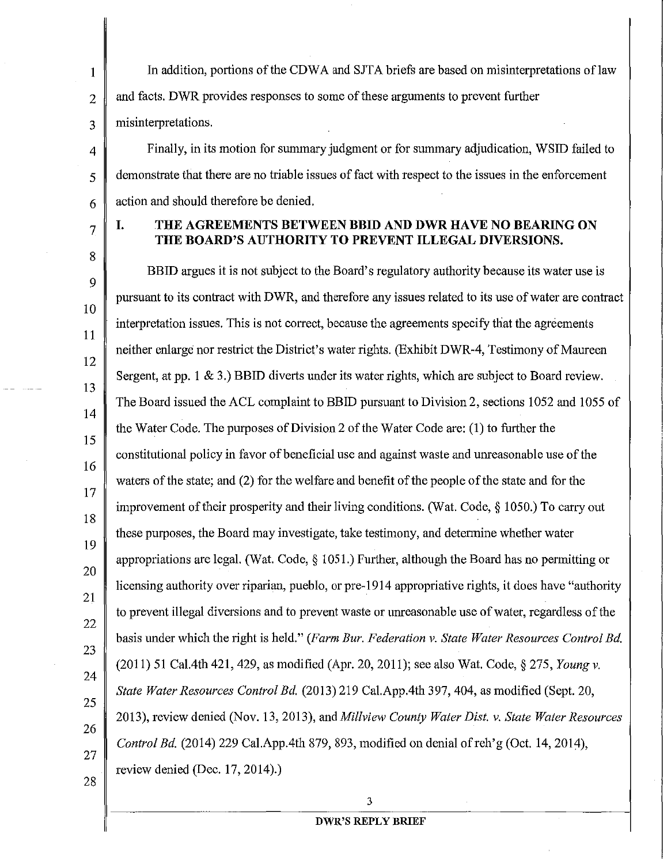1 In addition, portions of the CDWA and SJTA briefs are based on misinterpretations of law 2 and facts. DWR provides responses to some of these arguments to prevent further 3 misinterpretations.

 $4 \parallel$  Finally, in its motion for summary judgment or for summary adjudication, WSID failed to 5 demonstrate that there are no triable issues of fact with respect to the issues in the enforcement  $6 \parallel$  action and should therefore be denied.

7

8

### I. THE AGREEMENTS BETWEEN BBID AND DWR HAVE NO BEARING ON THE BOARD'S AUTHORITY TO PREVENT ILLEGAL DIVERSIONS.

9 10 11 12 13 14 15 16 17 18 19 20 21 22 23 24 25 26 27 28 BBID argues it is not subject to the Board's regulatory authority because its water use is pursuant to its contract with DWR, and therefore any issues related to its use of water are contract interpretation issues. This is not correct, because the agreements specify that the agreements neither enlarge nor restrict the District's water rights. (Exhibit DWR-4, Testimony of Maureen Sergent, at pp. I & 3.) BBID diverts under its water rights, which are subject to Board review. The Board issued the ACL complaint to BBID pursuant to Division 2, sections 1052 and 1055 of the Water Code. The purposes of Division 2 of the Water Code are: (I) to further the constitutional policy in favor of beneficial use and against waste and unreasonable use of the waters of the state; and (2) for the welfare and benefit of the people of the state and for the improvement of their prosperity and their living conditions. (Wat. Code,§ 1050.) To carry out these purposes, the Board may investigate, take testimony, and determine whether water appropriations are legal. (Wat. Code,  $\S 1051$ .) Further, although the Board has no permitting or licensing authority over riparian, pueblo, or pre-1914 appropriative rights, it does have "authority to prevent illegal diversions and to prevent waste or unreasonable use of water, regardless of the basis under which the right is held." *(Farm Bur. Federation v. State Water Resources Control Bd.*  (2011) 51 Cal. 4th 421,429, as modified (Apr. 20, 2011); see also Wat. Code,§ 275, *Young v. State Water Resources Control Bd.* (2013) 219 Cal.App.4th 397, 404, as modified (Sept. 20, 2013), review denied (Nov. 13, 2013), and *Millview County Water Dist. v. State Water Resources Control Bd.* (2014) 229 Cal.App.4th 879, 893, modified on denial ofreh'g (Oct. 14, 2014), review denied (Dec. 17, 2014).)

# 3 DWR'S REPLY BRIEF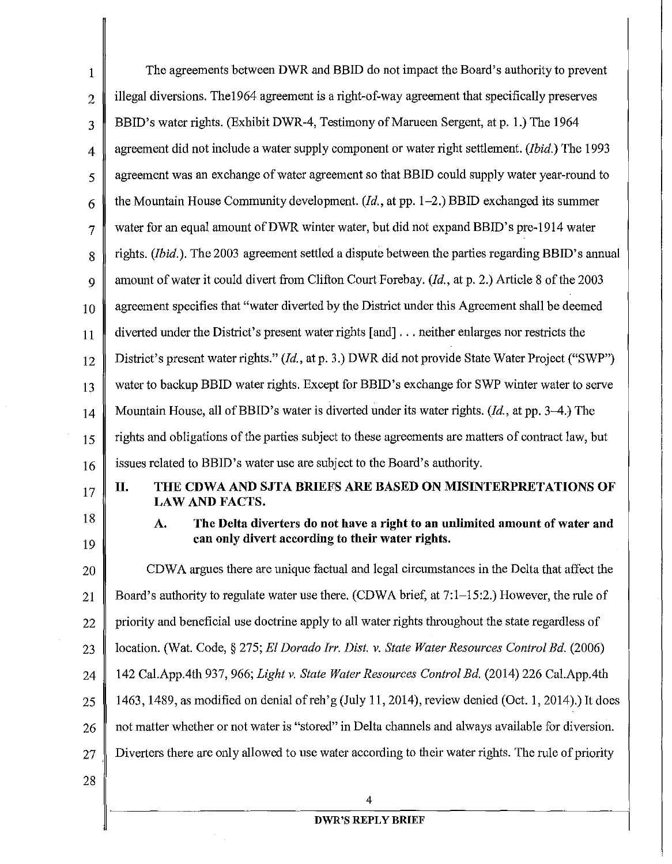| $\mathbf{1}$   | The agreements between DWR and BBID do not impact the Board's authority to prevent                                                    |
|----------------|---------------------------------------------------------------------------------------------------------------------------------------|
| $\overline{2}$ | illegal diversions. The 1964 agreement is a right-of-way agreement that specifically preserves                                        |
| 3              | BBID's water rights. (Exhibit DWR-4, Testimony of Marueen Sergent, at p. 1.) The 1964                                                 |
| $\overline{4}$ | agreement did not include a water supply component or water right settlement. (Ibid.) The 1993                                        |
| 5              | agreement was an exchange of water agreement so that BBID could supply water year-round to                                            |
| 6              | the Mountain House Community development. $(Id.,$ at pp. 1–2.) BBID exchanged its summer                                              |
| $\overline{7}$ | water for an equal amount of DWR winter water, but did not expand BBID's pre-1914 water                                               |
| 8              | rights. <i>(Ibid.)</i> . The 2003 agreement settled a dispute between the parties regarding BBID's annual                             |
| 9              | amount of water it could divert from Clifton Court Forebay. (Id., at p. 2.) Article 8 of the 2003                                     |
| 10             | agreement specifies that "water diverted by the District under this Agreement shall be deemed                                         |
| 11             | diverted under the District's present water rights [and] neither enlarges nor restricts the                                           |
| 12             | District's present water rights." (Id., at p. 3.) DWR did not provide State Water Project ("SWP")                                     |
| 13             | water to backup BBID water rights. Except for BBID's exchange for SWP winter water to serve                                           |
| 14             | Mountain House, all of BBID's water is diverted under its water rights. $(Id,$ at pp. 3-4.) The                                       |
| 15             | rights and obligations of the parties subject to these agreements are matters of contract law, but                                    |
| 16             | issues related to BBID's water use are subject to the Board's authority.                                                              |
| 17             | THE CDWA AND SJTA BRIEFS ARE BASED ON MISINTERPRETATIONS OF<br>П.<br><b>LAW AND FACTS.</b>                                            |
| 18<br>19       | The Delta diverters do not have a right to an unlimited amount of water and<br>A.<br>can only divert according to their water rights. |
| 20             | CDWA argues there are unique factual and legal circumstances in the Delta that affect the                                             |
| 21             | Board's authority to regulate water use there. (CDWA brief, at 7:1–15:2.) However, the rule of                                        |
| 22             | priority and beneficial use doctrine apply to all water rights throughout the state regardless of                                     |
| 23             | location. (Wat. Code, § 275; El Dorado Irr. Dist. v. State Water Resources Control Bd. (2006)                                         |
| 24             | 142 Cal.App.4th 937, 966; Light v. State Water Resources Control Bd. (2014) 226 Cal.App.4th                                           |
| 25             | 1463, 1489, as modified on denial of reh'g (July 11, 2014), review denied (Oct. 1, 2014).) It does                                    |
| 26             | not matter whether or not water is "stored" in Delta channels and always available for diversion.                                     |
| 27             | Diverters there are only allowed to use water according to their water rights. The rule of priority                                   |
| 28             |                                                                                                                                       |
|                | 4                                                                                                                                     |

 $\bar{\beta}$ 

 $\bar{z}$ 

# **DWR'SREPLYBRIEF**

 $\overline{\phantom{a}}$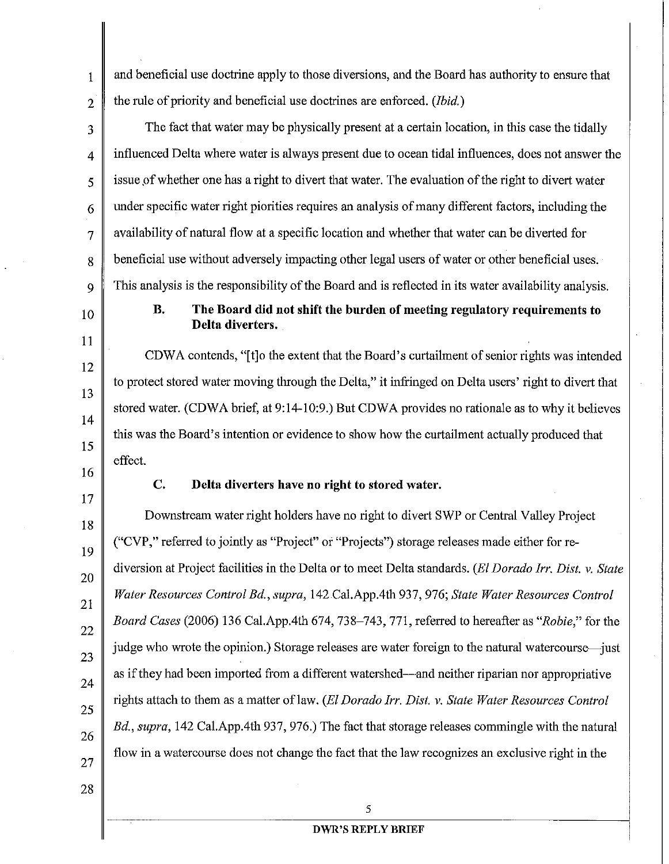1 and beneficial use doctrine apply to those diversions, and the Board has authority to ensure that 2 the rule of priority and beneficial use doctrines are enforced. *(Ibid.)* 

- $3 \parallel$  The fact that water may be physically present at a certain location, in this case the tidally  $4 \parallel$  influenced Delta where water is always present due to ocean tidal influences, does not answer the  $\frac{1}{5}$  issue of whether one has a right to divert that water. The evaluation of the right to divert water  $6 \parallel$  under specific water right piorities requires an analysis of many different factors, including the  $7 \parallel$  availability of natural flow at a specific location and whether that water can be diverted for 8 beneficial use without adversely impacting other legal users of water or other beneficial uses. 9 This analysis is the responsibility of the Board and is reflected in its water availability analysis.
- 10

11

12

13

14

15

**B. The Board did not shift the burden of meeting regulatory requirements to Delta diverters.** 

CDWA contends, "[t]o the extent that the Board's curtailment of senior rights was intended to protect stored water moving through the Delta," it infringed on Delta users' right to divert that stored water. (CDWA brief, at 9:14-10:9.) But CDWA provides no rationale as to why it believes this was the Board's intention or evidence to show how the curtailment actually produced that effect.

16 17

## **C. Delta diverters have no right to stored water.**

18 19 20 21 22 23 24 25 26 27 Downstream water right holders have no right to divert SWP or Central Valley Project ("CVP," referred to jointly as "Project" or "Projects") storage releases made either for rediversion at Project facilities in the Delta or to meet Delta standards. *(ElDorado Irr. Dist. v. State Water Resources Control Bd., supra,* 142 Cal.App.4th 937, 976; *State Water Resources Control Board Cases* (2006) 136 Cal.App.4th 674,738-743, 771, referred to hereafter as *"Robie,"* for the judge who wrote the opinion.) Storage releases are water foreign to the natural watercourse—just as if they had been imported from a different watershed—and neither riparian nor appropriative rights attach to them as a matter of law. *(El Dorado Irr. Dist. v. State Water Resources Control Bd., supra,* 142 Cal.App.4th 937, 976.) The fact that storage releases commingle with the natural flow in a watercourse does not change the fact that the law recognizes an exclusive right in the

28

5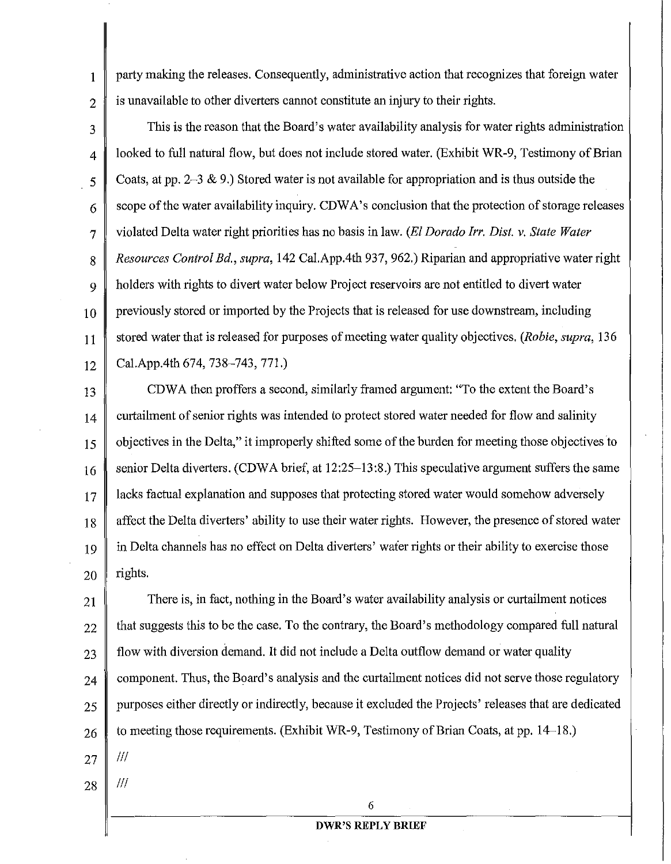$1 \parallel$  party making the releases. Consequently, administrative action that recognizes that foreign water  $2 \parallel$  is unavailable to other diverters cannot constitute an injury to their rights.

 $3 \parallel$  This is the reason that the Board's water availability analysis for water rights administration 4 | looked to full natural flow, but does not include stored water. (Exhibit WR-9, Testimony of Brian 5 Coats, at pp. 2-3 & 9.) Stored water is not available for appropriation and is thus outside the  $6 \parallel$  scope of the water availability inquiry. CDWA's conclusion that the protection of storage releases 7 violated Delta water right priorities has no basis in law. *(ElDorado Irr. Dist. v. State Water*  8 *Resources Control Bd., supra,* 142 Cal.App.4th 937, 962.) Riparian and appropriative water right 9 holders with rights to divert water below Project reservoirs are not entitled to divert water  $10$  previously stored or imported by the Projects that is released for use downstream, including 11 stored water that is released for purposes of meeting water quality objectives. *(Robie, supra,* 136  $_{12}$  Cal.App.4th 674, 738–743, 771.)

13 CDWA then proffers a second, similarly framed argument: "To the extent the Board's 14 curtailment of senior rights was intended to protect stored water needed for flow and salinity 15 objectives in the Delta," it improperly shifted some of the burden for meeting those objectives to 16 senior Delta diverters. (CDWA brief, at 12:25–13:8.) This speculative argument suffers the same 17 acks factual explanation and supposes that protecting stored water would somehow adversely 18 affect the Delta diverters' ability to use their water rights. However, the presence of stored water 19 in Delta channels has no effect on Delta diverters' water rights or their ability to exercise those  $20 \parallel$  rights.

 $21$  There is, in fact, nothing in the Board's water availability analysis or curtailment notices  $22$  finat suggests this to be the case. To the contrary, the Board's methodology compared full natural  $23$  flow with diversion demand. It did not include a Delta outflow demand or water quality  $24$  component. Thus, the Board's analysis and the curtailment notices did not serve those regulatory 25 purposes either directly or indirectly, because it excluded the Projects' releases that are dedicated  $26 \parallel$  to meeting those requirements. (Exhibit WR-9, Testimony of Brian Coats, at pp. 14–18.)  $27 \parallel$  ///

28  $\parallel$  ///

6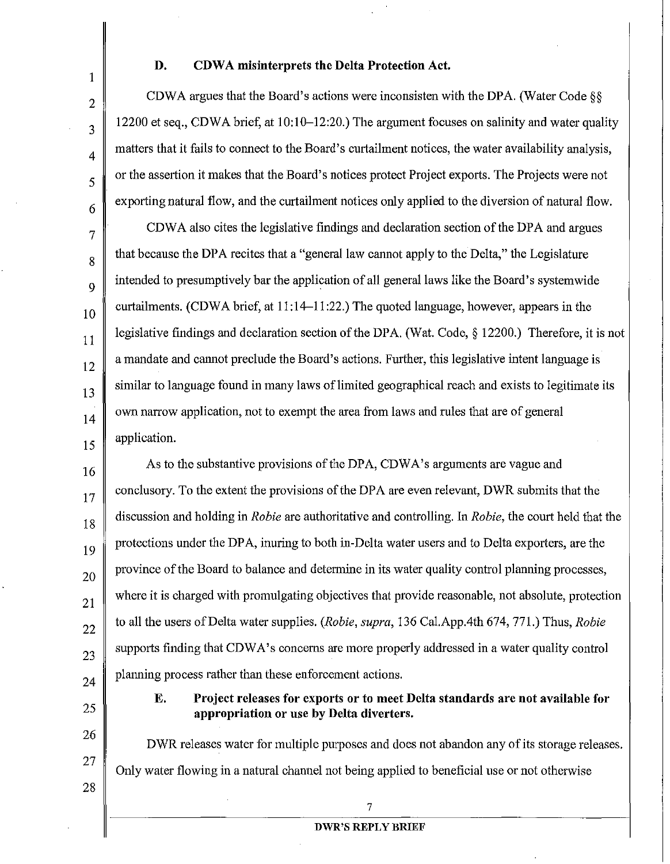1

2

3

4

5

6

7

8

9

10

11

12

13

14

15

#### D. CDWA misinterprets the Delta Protection Act.

CDWA argues that the Board's actions were inconsisten with the DPA. (Water Code§§ 12200 et seq., CDWA brief, at 10:10-12:20.) The argument focuses on salinity and water quality matters that it fails to connect to the Board's curtailment notices, the water availability analysis, or the assertion it makes that the Board's notices protect Project exports. The Projects were not exporting natural flow, and the curtailment notices only applied to the diversion of natural flow.

CDWA also cites the legislative findings and declaration section of the DPA and argues that because the DPA recites that a "general law cannot apply to the Delta," the Legislature intended to presumptively bar the application of all general laws like the Board's systemwide curtailments. (CDWA brief, at 11:14-11:22.) The quoted language, however, appears in the legislative findings and declaration section of the DPA. (Wat. Code, § 12200.) Therefore, it is not a mandate and cannot preclude the Board's actions. Further, this legislative intent language is similar to language found in many laws of limited geographical reach and exists to legitimate its own narrow application, not to exempt the area from laws and rnles that are of general application.

16 17 18 19 20 21 22 23 24 As to the substantive provisions of the DPA, CDWA's arguments are vague and conclusory. To the extent the provisions of the DPA are even relevant, DWR submits that the discussion and holding in *Robie* are authoritative and controlling. In *Robie,* the court held that the protections under the DPA, inuring to both in-Delta water users and to Delta exporters, are the province of the Board to balance and detennine in its water quality control planning processes, where it is charged with promulgating objectives that provide reasonable, not absolute, protection to all the users of Delta water supplies. *(Robie, supra,* 136 Cal.App.4th 674, 771.) Thus, *Robie*  supports finding that CDWA's concerns are more properly addressed in a water quality control planning process rather than these enforcement actions.

25

26

27

28

E. Project releases for exports or to meet Delta standards are not available for appropriation or use by Delta diverters.

DWR releases water for multiple purposes and does not abandon any of its storage releases. Only water flowing in a natural channel not being applied to beneficial use or not otherwise

7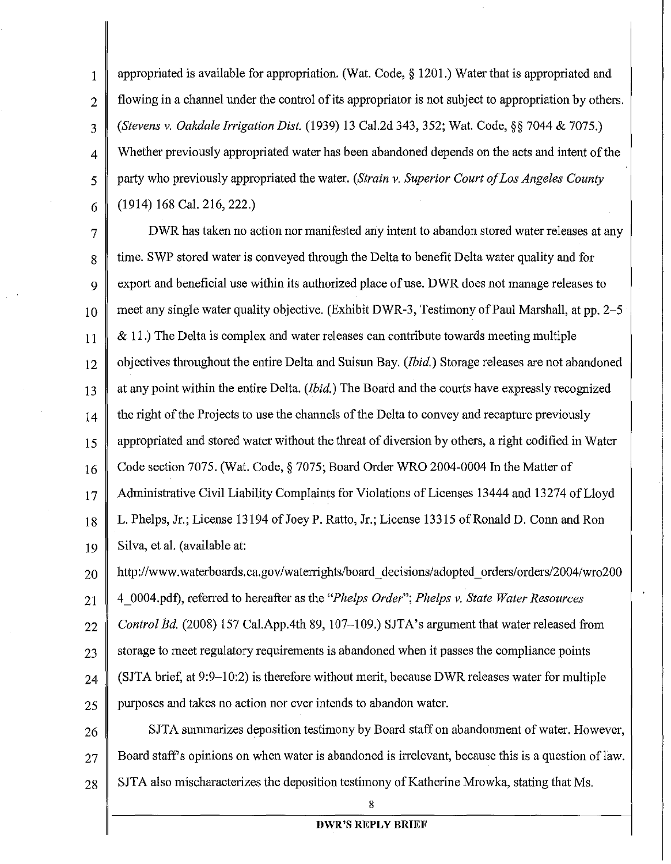1 appropriated is available for appropriation. (Wat. Code, § 1201.) Water that is appropriated and  $2 \parallel$  flowing in a channel under the control of its appropriator is not subject to appropriation by others. 3 *(Stevens v. Oakdale Irrigation Dist.* (1939) 13 Cal.2d 343, 352; Wat. Code,§§ 7044 & 7075.) 4 Whether previously appropriated water has been abandoned depends on the acts and intent of the 5 party who previously appropriated the water. *(Strain v. Superior Court of Los Angeles County*  6 (1914) 168 Cal. 216, 222.)

7 DWR has taken no action nor manifested any intent to abandon stored water releases at any 8 time. SWP stored water is conveyed through the Delta to benefit Delta water quality and for 9 export and beneficial use within its authorized place of use. DWR does not manage releases to 10 meet any single water quality objective. (Exhibit DWR-3, Testimony of Paul Marshall, at pp. 2–5  $11 \parallel \& 11$ .) The Delta is complex and water releases can contribute towards meeting multiple 12 objectives throughout the entire Delta and Suisun Bay. *(Ibid.)* Storage releases are not abandoned 13 at any point within the entire Delta. *(Ibid.)* The Board and the courts have expressly recognized  $14 \parallel$  the right of the Projects to use the channels of the Delta to convey and recapture previously 15 appropriated and stored water without the threat of diversion by others, a right codified in Water 16 Code section 7075. (Wat. Code, § 7075; Board Order WRO 2004-0004 In the Matter of 17 Administrative Civil Liability Complaints for Violations of Licenses 13444 and 13274 of Lloyd 18 L. Phelps, Jr.; License 13194 of Joey P. Ratto, Jr.; License 13315 of Ronald D. Conn and Ron 19 Silva, et al. (available at:

20 http://www.waterboards.ca.gov/waterrights/board\_decisions/adopted\_orders/orders/2004/wro200 21 4 0004.pdf), referred to hereafter as the *"Phelps Order"; Phelps v. State Water Resources*  22 *Control Bd.* (2008) 157 Cal.App.4th 89, 107–109.) SJTA's argument that water released from  $23 \parallel$  storage to meet regulatory requirements is abandoned when it passes the compliance points 24  $\parallel$  (SJTA brief, at 9:9–10:2) is therefore without merit, because DWR releases water for multiple 25 purposes and takes no action nor ever intends to abandon water.

26 SJTA summarizes deposition testimony by Board staff on abandonment of water. However,  $27 \parallel$  Board staff's opinions on when water is abandoned is irrelevant, because this is a question of law.  $28 \parallel$  SJTA also mischaracterizes the deposition testimony of Katherine Mrowka, stating that Ms.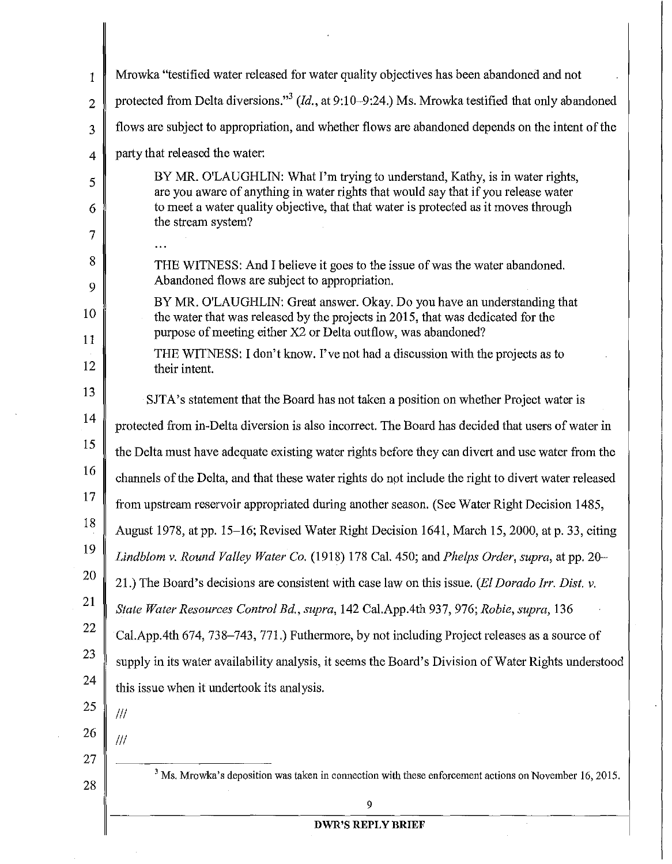| $\mathbf{1}$   | Mrowka "testified water released for water quality objectives has been abandoned and not                                                                                                                                     |
|----------------|------------------------------------------------------------------------------------------------------------------------------------------------------------------------------------------------------------------------------|
| $\overline{2}$ | protected from Delta diversions." <sup>3</sup> ( $Id.$ , at 9:10–9:24.) Ms. Mrowka testified that only abandoned                                                                                                             |
| 3              | flows are subject to appropriation, and whether flows are abandoned depends on the intent of the                                                                                                                             |
| $\overline{4}$ | party that released the water:                                                                                                                                                                                               |
| 5              | BY MR. O'LAUGHLIN: What I'm trying to understand, Kathy, is in water rights,<br>are you aware of anything in water rights that would say that if you release water                                                           |
| 6<br>7         | to meet a water quality objective, that that water is protected as it moves through<br>the stream system?                                                                                                                    |
|                |                                                                                                                                                                                                                              |
| 8<br>9         | THE WITNESS: And I believe it goes to the issue of was the water abandoned.<br>Abandoned flows are subject to appropriation.                                                                                                 |
| 10<br>11       | BY MR, O'LAUGHLIN: Great answer. Okay, Do you have an understanding that<br>the water that was released by the projects in 2015, that was dedicated for the<br>purpose of meeting either X2 or Delta outflow, was abandoned? |
| 12             | THE WITNESS: I don't know. I've not had a discussion with the projects as to<br>their intent.                                                                                                                                |
| 13             | SJTA's statement that the Board has not taken a position on whether Project water is                                                                                                                                         |
| 14             | protected from in-Delta diversion is also incorrect. The Board has decided that users of water in                                                                                                                            |
| 15             | the Delta must have adequate existing water rights before they can divert and use water from the                                                                                                                             |
| 16             | channels of the Delta, and that these water rights do not include the right to divert water released                                                                                                                         |
| 17             | from upstream reservoir appropriated during another season. (See Water Right Decision 1485,                                                                                                                                  |
| 18             | August 1978, at pp. 15–16; Revised Water Right Decision 1641, March 15, 2000, at p. 33, citing                                                                                                                               |
| 19             | Lindblom v. Round Valley Water Co. (1918) 178 Cal. 450; and Phelps Order, supra, at pp. 20–                                                                                                                                  |
| 20             | 21.) The Board's decisions are consistent with case law on this issue. (El Dorado Irr. Dist. v.                                                                                                                              |
| 21             | State Water Resources Control Bd., supra, 142 Cal.App.4th 937, 976; Robie, supra, 136                                                                                                                                        |
| 22             | Cal.App.4th 674, 738–743, 771.) Futhermore, by not including Project releases as a source of                                                                                                                                 |
| 23             | supply in its water availability analysis, it seems the Board's Division of Water Rights understood                                                                                                                          |
| 24             | this issue when it undertook its analysis.                                                                                                                                                                                   |
| 25             | ///                                                                                                                                                                                                                          |
| 26             | ///                                                                                                                                                                                                                          |
| 27<br>28       | $3$ Ms. Mrowka's deposition was taken in connection with these enforcement actions on November 16, 2015.                                                                                                                     |
|                | 9                                                                                                                                                                                                                            |
|                | <b>DWR'S REPLY BRIEF</b>                                                                                                                                                                                                     |

 $\epsilon_{\rm{max}}$ 

 $\begin{array}{c} \hline \end{array}$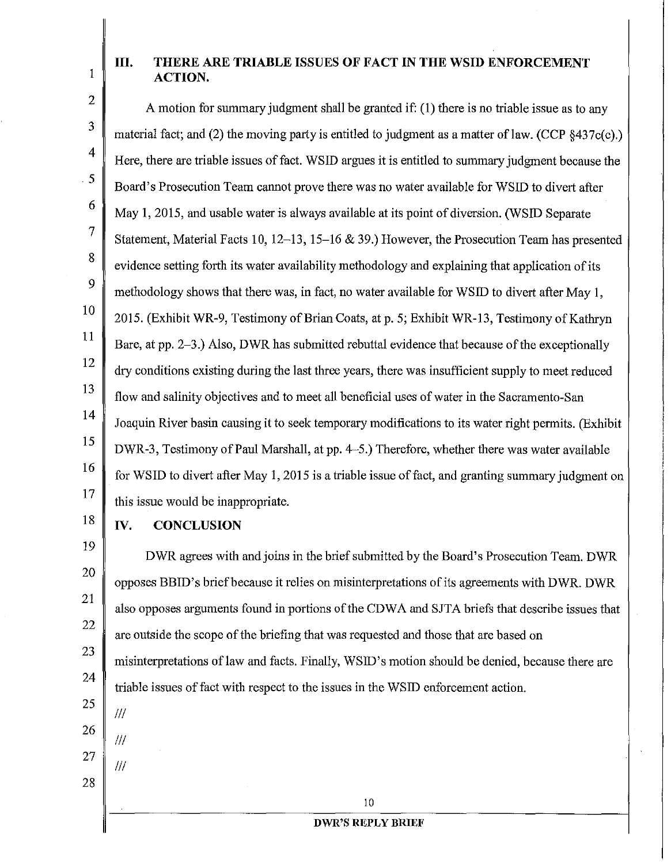# **III. THERE ARE TRIABLE ISSUES OF FACT IN THE WSID ENFORCEMENT**   $\parallel \parallel$  **ACTION.**

A motion for summary judgment shall be granted if: (I) there is no triable issue as to any material fact; and (2) the moving party is entitled to judgment as a matter of law. (CCP  $§437c(c)$ .) Here, there are triable issues of fact. WSID argues it is entitled to summary judgment because the Board's Prosecution Team cannot prove there was no water available for WSID to divert after May 1, 2015, and usable water is always available at its point of diversion. (WSID Separate Statement, Material Facts 10, 12-13, 15-16 & 39.) However, the Prosecution Team has presented evidence setting forth its water availability methodology and explaining that application of its methodology shows that there was, in fact, no water available for WSID to divert after May I, 2015. (Exhibit WR-9, Testimony of Brian Coats, at p. 5; Exhibit WR-13, Testimony of Kathryn Bare, at pp. 2-3.) Also, DWR has submitted rebuttal evidence that because of the exceptionally dry conditions existing during the last three years, there was insufficient supply to meet reduced flow and salinity objectives and to meet all beneficial uses of water in the Sacramento-San Joaquin River basin causing it to seek temporary modifications to its water right permits. (Exhibit DWR-3, Testimony of Paul Marshall, at pp. 4-5.) Therefore, whether there was water available for WSID to divert after May 1, 2015 is a triable issue of fact, and granting summary judgment on this issue would be inappropriate.

18

2

3

4

5

6

7

8

9

10

11

12

13

14

15

16

17

### **IV. CONCLUSION**

19 20 21 22 23 24 25 26 27 28 DWR agrees with and joins in the brief submitted by the Board's Prosecution Team. DWR opposes BBID's brief because it relies on misinterpretations of its agreements with DWR. DWR also opposes arguments found in portions of the CDW A and SJT A briefs that describe issues that are outside the scope of the briefing that was requested and those that are based on misinterpretations oflaw and facts. Finally, WSID's motion should be denied, because there are triable issues of fact with respect to the issues in the WSID enforcement action. Ill Ill Ill

10

#### **DWR'S REPLY BRIEF**